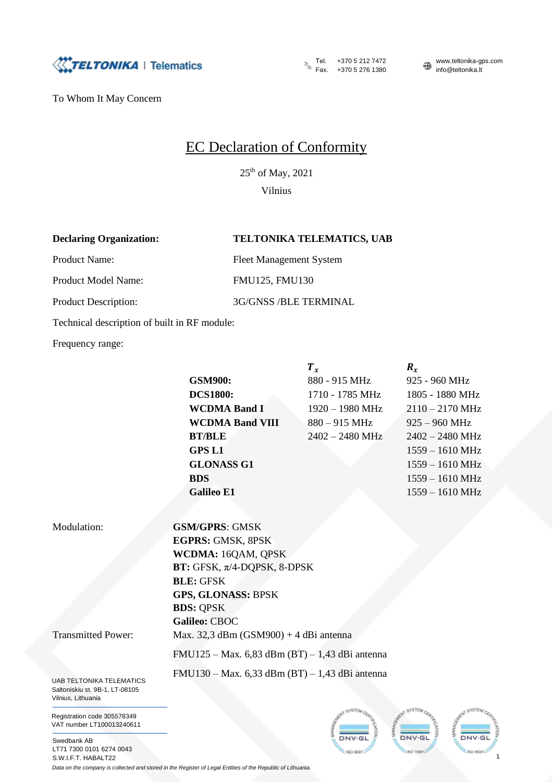

To Whom It May Concern

## EC Declaration of Conformity

 $25<sup>th</sup>$  of May, 2021

Vilnius

## **Declaring Organization: TELTONIKA TELEMATICS, UAB**

Product Name: Fleet Management System

Product Model Name: FMU125, FMU130

Product Description: 3G/GNSS /BLE TERMINAL

Technical description of built in RF module:

Frequency range:

**GSM900:** 880 - 915 MHz 925 - 960 MHz **DCS1800:** 1710 - 1785 MHz 1805 - 1880 MHz **WCDMA Band I** 1920 – 1980 MHz 2110 – 2170 MHz **WCDMA Band VIII** 880 – 915 MHz 925 – 960 MHz **BT/BLE** 2402 – 2480 MHz 2402 – 2480 MHz **GPS L1** 1559 – 1610 MHz **GLONASS G1** 1559 – 1610 MHz **BDS** 1559 – 1610 MHz **Galileo E1** 1559 – 1610 MHz

 $T_x$   $R_x$ 

UAB TELTONIKA TELEMATICS Modulation: **GSM/GPRS**: GMSK **EGPRS:** GMSK, 8PSK **WCDMA:** 16QAM, QPSK **BT:** GFSK, π/4-DQPSK, 8-DPSK **BLE:** GFSK **GPS, GLONASS:** BPSK **BDS:** QPSK **Galileo:** CBOC Transmitted Power: Max. 32,3 dBm (GSM900) + 4 dBi antenna FMU125 – Max. 6,83 dBm (BT) – 1,43 dBi antenna FMU130 – Max. 6,33 dBm (BT) – 1,43 dBi antenna

Saltoniskiu st. 9B-1, LT-08105 Vilnius, Lithuania

Registration code 305578349 VAT number LT100013240611

Swedbank AB LT71 7300 0101 6274 0043 S.W.I.F.T. HABALT22





*Data on the company is collected and stored in the Register of Legal Entities of the Republic of Lithuania.*

Tel.  $+37052127472$  www.teltonika-gps.com Fax. +370 5 276 1380 info@teltonika.lt